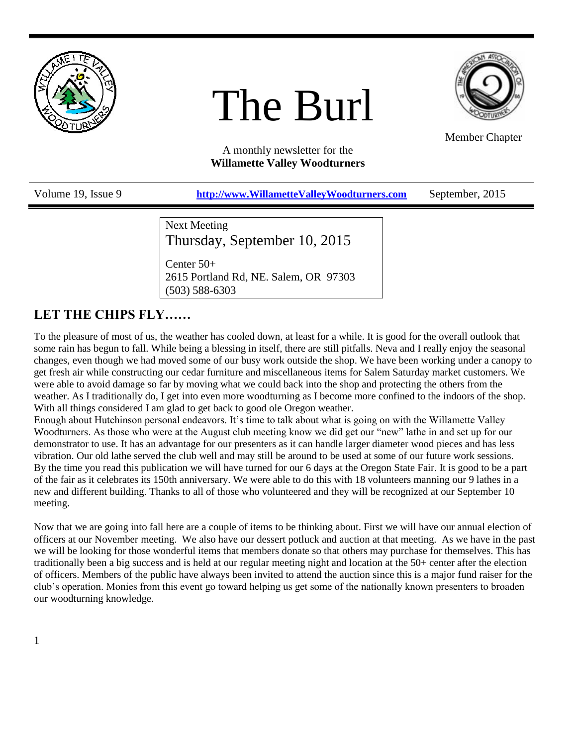

# The Burl



Member Chapter

A monthly newsletter for the **Willamette Valley Woodturners**

Volume 19, Issue 9 **[http://www.WillametteValleyWoodturners.com](http://www.willamettevalleywoodturners.com/)** September, 2015

Next Meeting Thursday, September 10, 2015

Center 50+ 2615 Portland Rd, NE. Salem, OR 97303 (503) 588-6303

## **LET THE CHIPS FLY……**

To the pleasure of most of us, the weather has cooled down, at least for a while. It is good for the overall outlook that some rain has begun to fall. While being a blessing in itself, there are still pitfalls. Neva and I really enjoy the seasonal changes, even though we had moved some of our busy work outside the shop. We have been working under a canopy to get fresh air while constructing our cedar furniture and miscellaneous items for Salem Saturday market customers. We were able to avoid damage so far by moving what we could back into the shop and protecting the others from the weather. As I traditionally do, I get into even more woodturning as I become more confined to the indoors of the shop. With all things considered I am glad to get back to good ole Oregon weather.

Enough about Hutchinson personal endeavors. It's time to talk about what is going on with the Willamette Valley Woodturners. As those who were at the August club meeting know we did get our "new" lathe in and set up for our demonstrator to use. It has an advantage for our presenters as it can handle larger diameter wood pieces and has less vibration. Our old lathe served the club well and may still be around to be used at some of our future work sessions. By the time you read this publication we will have turned for our 6 days at the Oregon State Fair. It is good to be a part of the fair as it celebrates its 150th anniversary. We were able to do this with 18 volunteers manning our 9 lathes in a new and different building. Thanks to all of those who volunteered and they will be recognized at our September 10 meeting.

Now that we are going into fall here are a couple of items to be thinking about. First we will have our annual election of officers at our November meeting. We also have our dessert potluck and auction at that meeting. As we have in the past we will be looking for those wonderful items that members donate so that others may purchase for themselves. This has traditionally been a big success and is held at our regular meeting night and location at the 50+ center after the election of officers. Members of the public have always been invited to attend the auction since this is a major fund raiser for the club's operation. Monies from this event go toward helping us get some of the nationally known presenters to broaden our woodturning knowledge.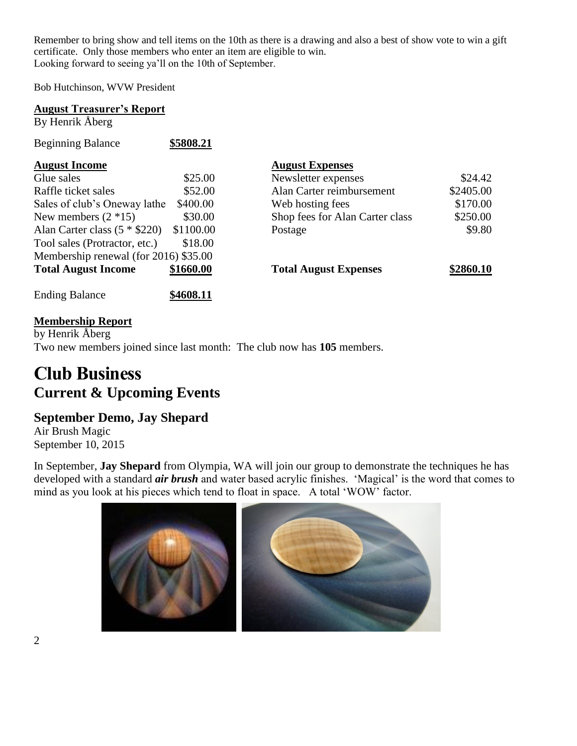Remember to bring show and tell items on the 10th as there is a drawing and also a best of show vote to win a gift certificate. Only those members who enter an item are eligible to win. Looking forward to seeing ya'll on the 10th of September.

Bob Hutchinson, WVW President

| <b>August Treasurer's Report</b><br>By Henrik Åberg |           |                                 |           |
|-----------------------------------------------------|-----------|---------------------------------|-----------|
| <b>Beginning Balance</b>                            | \$5808.21 |                                 |           |
| <b>August Income</b>                                |           | <b>August Expenses</b>          |           |
| Glue sales                                          | \$25.00   | Newsletter expenses             | \$24.42   |
| Raffle ticket sales                                 | \$52.00   | Alan Carter reimbursement       | \$2405.00 |
| Sales of club's Oneway lathe                        | \$400.00  | Web hosting fees                | \$170.00  |
| New members $(2 * 15)$                              | \$30.00   | Shop fees for Alan Carter class | \$250.00  |
| Alan Carter class $(5 * $220)$                      | \$1100.00 | Postage                         | \$9.80    |
| Tool sales (Protractor, etc.)                       | \$18.00   |                                 |           |
| Membership renewal (for 2016) \$35.00               |           |                                 |           |
| <b>Total August Income</b>                          | \$1660.00 | <b>Total August Expenses</b>    | \$2860.10 |
| <b>Ending Balance</b>                               | \$4608.11 |                                 |           |

## **Membership Report**

by Henrik Åberg Two new members joined since last month: The club now has **105** members.

## **Club Business Current & Upcoming Events**

## **September Demo, Jay Shepard**

Air Brush Magic September 10, 2015

In September, **Jay Shepard** from Olympia, WA will join our group to demonstrate the techniques he has developed with a standard *air brush* and water based acrylic finishes. 'Magical' is the word that comes to mind as you look at his pieces which tend to float in space. A total 'WOW' factor.

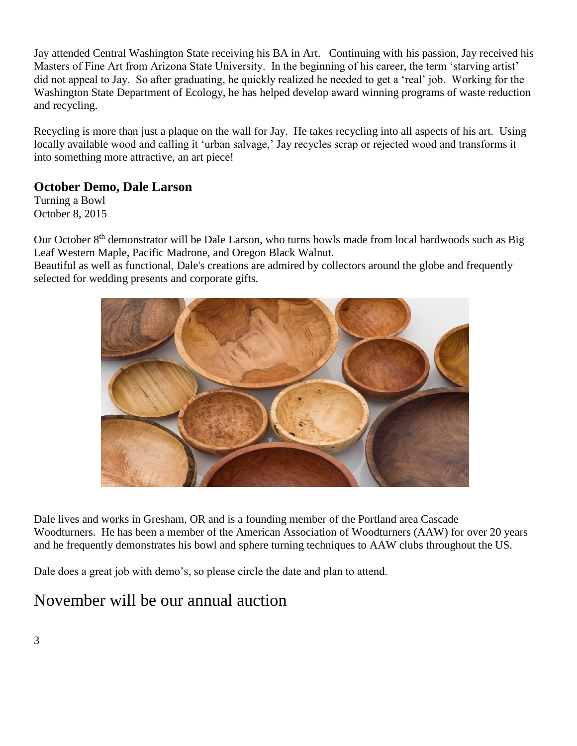Jay attended Central Washington State receiving his BA in Art. Continuing with his passion, Jay received his Masters of Fine Art from Arizona State University. In the beginning of his career, the term 'starving artist' did not appeal to Jay. So after graduating, he quickly realized he needed to get a 'real' job. Working for the Washington State Department of Ecology, he has helped develop award winning programs of waste reduction and recycling.

Recycling is more than just a plaque on the wall for Jay. He takes recycling into all aspects of his art. Using locally available wood and calling it 'urban salvage,' Jay recycles scrap or rejected wood and transforms it into something more attractive, an art piece!

## **October Demo, Dale Larson**

Turning a Bowl October 8, 2015

Our October 8<sup>th</sup> demonstrator will be Dale Larson, who turns bowls made from local hardwoods such as Big Leaf Western Maple, Pacific Madrone, and Oregon Black Walnut.

Beautiful as well as functional, Dale's creations are admired by collectors around the globe and frequently selected for wedding presents and corporate gifts.



Dale lives and works in Gresham, OR and is a founding member of the Portland area Cascade Woodturners. He has been a member of the American Association of Woodturners (AAW) for over 20 years and he frequently demonstrates his bowl and sphere turning techniques to AAW clubs throughout the US.

Dale does a great job with demo's, so please circle the date and plan to attend.

## November will be our annual auction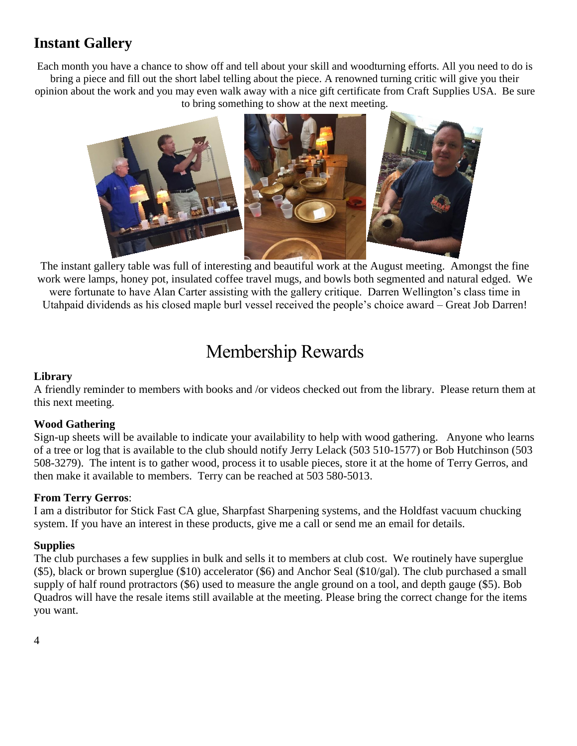## **Instant Gallery**

Each month you have a chance to show off and tell about your skill and woodturning efforts. All you need to do is bring a piece and fill out the short label telling about the piece. A renowned turning critic will give you their opinion about the work and you may even walk away with a nice gift certificate from Craft Supplies USA. Be sure to bring something to show at the next meeting.



The instant gallery table was full of interesting and beautiful work at the August meeting. Amongst the fine work were lamps, honey pot, insulated coffee travel mugs, and bowls both segmented and natural edged. We were fortunate to have Alan Carter assisting with the gallery critique. Darren Wellington's class time in Utahpaid dividends as his closed maple burl vessel received the people's choice award – Great Job Darren!

## Membership Rewards

### **Library**

A friendly reminder to members with books and /or videos checked out from the library. Please return them at this next meeting.

#### **Wood Gathering**

Sign-up sheets will be available to indicate your availability to help with wood gathering. Anyone who learns of a tree or log that is available to the club should notify Jerry Lelack (503 510-1577) or Bob Hutchinson (503 508-3279). The intent is to gather wood, process it to usable pieces, store it at the home of Terry Gerros, and then make it available to members. Terry can be reached at 503 580-5013.

#### **From Terry Gerros**:

I am a distributor for Stick Fast CA glue, Sharpfast Sharpening systems, and the Holdfast vacuum chucking system. If you have an interest in these products, give me a call or send me an email for details.

### **Supplies**

The club purchases a few supplies in bulk and sells it to members at club cost. We routinely have superglue (\$5), black or brown superglue (\$10) accelerator (\$6) and Anchor Seal (\$10/gal). The club purchased a small supply of half round protractors (\$6) used to measure the angle ground on a tool, and depth gauge (\$5). Bob Quadros will have the resale items still available at the meeting. Please bring the correct change for the items you want.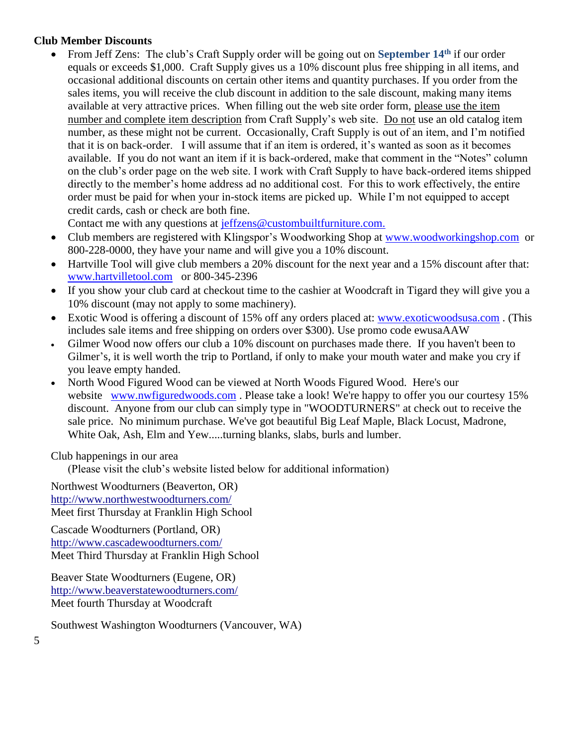#### **Club Member Discounts**

 From Jeff Zens: The club's Craft Supply order will be going out on **September 14th** if our order equals or exceeds \$1,000. Craft Supply gives us a 10% discount plus free shipping in all items, and occasional additional discounts on certain other items and quantity purchases. If you order from the sales items, you will receive the club discount in addition to the sale discount, making many items available at very attractive prices. When filling out the web site order form, please use the item number and complete item description from Craft Supply's web site. Do not use an old catalog item number, as these might not be current. Occasionally, Craft Supply is out of an item, and I'm notified that it is on back-order. I will assume that if an item is ordered, it's wanted as soon as it becomes available. If you do not want an item if it is back-ordered, make that comment in the "Notes" column on the club's order page on the web site. I work with Craft Supply to have back-ordered items shipped directly to the member's home address ad no additional cost. For this to work effectively, the entire order must be paid for when your in-stock items are picked up. While I'm not equipped to accept credit cards, cash or check are both fine.

Contact me with any questions at [jeffzens@custombuiltfurniture.com.](mailto:jeffzens@custombuiltfurniture.com.)

- Club members are registered with Klingspor's Woodworking Shop at [www.woodworkingshop.com](http://www.woodworkingshop.com/) or 800-228-0000, they have your name and will give you a 10% discount.
- Hartville Tool will give club members a 20% discount for the next year and a 15% discount after that: [www.hartvilletool.com](http://www.hartvilletool.com/) or 800-345-2396
- If you show your club card at checkout time to the cashier at Woodcraft in Tigard they will give you a 10% discount (may not apply to some machinery).
- Exotic Wood is offering a discount of 15% off any orders placed at: [www.exoticwoodsusa.com](http://www.exoticwoodsusa.com/) . (This includes sale items and free shipping on orders over \$300). Use promo code ewusaAAW
- Gilmer Wood now offers our club a 10% discount on purchases made there. If you haven't been to Gilmer's, it is well worth the trip to Portland, if only to make your mouth water and make you cry if you leave empty handed.
- North Wood Figured Wood can be viewed at North Woods Figured Wood. Here's our website [www.nwfiguredwoods.com](http://www.nwfiguredwoods.com/). Please take a look! We're happy to offer you our courtesy 15% discount. Anyone from our club can simply type in "WOODTURNERS" at check out to receive the sale price. No minimum purchase. We've got beautiful Big Leaf Maple, Black Locust, Madrone, White Oak, Ash, Elm and Yew.....turning blanks, slabs, burls and lumber.

Club happenings in our area

(Please visit the club's website listed below for additional information)

Northwest Woodturners (Beaverton, OR) <http://www.northwestwoodturners.com/> Meet first Thursday at Franklin High School Cascade Woodturners (Portland, OR)

<http://www.cascadewoodturners.com/> Meet Third Thursday at Franklin High School

Beaver State Woodturners (Eugene, OR) <http://www.beaverstatewoodturners.com/> Meet fourth Thursday at Woodcraft

Southwest Washington Woodturners (Vancouver, WA)